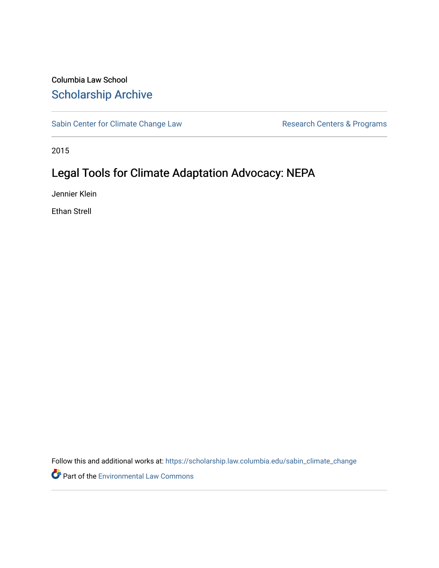## Columbia Law School [Scholarship Archive](https://scholarship.law.columbia.edu/)

[Sabin Center for Climate Change Law](https://scholarship.law.columbia.edu/sabin_climate_change) Research Centers & Programs

2015

# Legal Tools for Climate Adaptation Advocacy: NEPA

Jennier Klein

Ethan Strell

Follow this and additional works at: [https://scholarship.law.columbia.edu/sabin\\_climate\\_change](https://scholarship.law.columbia.edu/sabin_climate_change?utm_source=scholarship.law.columbia.edu%2Fsabin_climate_change%2F133&utm_medium=PDF&utm_campaign=PDFCoverPages) 

**P** Part of the [Environmental Law Commons](http://network.bepress.com/hgg/discipline/599?utm_source=scholarship.law.columbia.edu%2Fsabin_climate_change%2F133&utm_medium=PDF&utm_campaign=PDFCoverPages)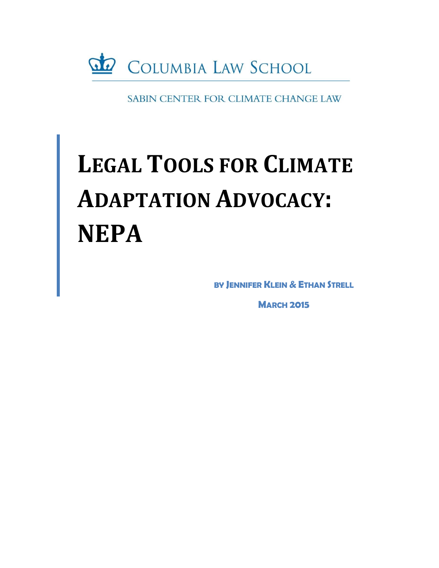

SABIN CENTER FOR CLIMATE CHANGE LAW

# **LEGAL TOOLS FOR CLIMATE ADAPTATION ADVOCACY: NEPA**

**BY JENNIFER KLEIN & ETHAN STRELL**

**MARCH 2015**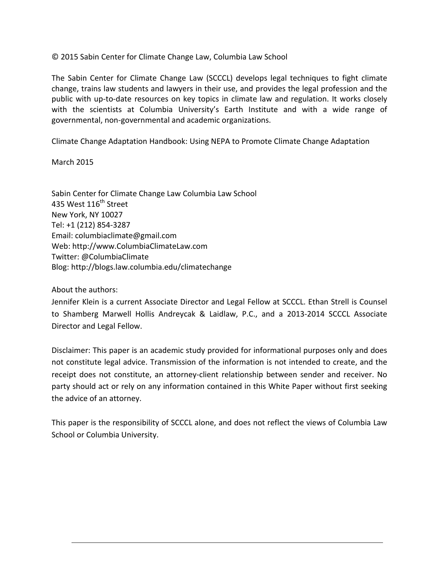© 2015 Sabin Center for Climate Change Law, Columbia Law School

The Sabin Center for Climate Change Law (SCCCL) develops legal techniques to fight climate change, trains law students and lawyers in their use, and provides the legal profession and the public with up-to-date resources on key topics in climate law and regulation. It works closely with the scientists at Columbia University's Earth Institute and with a wide range of governmental, non-governmental and academic organizations.

Climate Change Adaptation Handbook: Using NEPA to Promote Climate Change Adaptation

March 2015

Sabin Center for Climate Change Law Columbia Law School 435 West 116<sup>th</sup> Street New York, NY 10027 Tel: +1 (212) 854-3287 Email: columbiaclimate@gmail.com Web: http://www.ColumbiaClimateLaw.com Twitter: @ColumbiaClimate Blog: http://blogs.law.columbia.edu/climatechange

About the authors:

Jennifer Klein is a current Associate Director and Legal Fellow at SCCCL. Ethan Strell is Counsel to Shamberg Marwell Hollis Andreycak & Laidlaw, P.C., and a 2013-2014 SCCCL Associate Director and Legal Fellow.

Disclaimer: This paper is an academic study provided for informational purposes only and does not constitute legal advice. Transmission of the information is not intended to create, and the receipt does not constitute, an attorney-client relationship between sender and receiver. No party should act or rely on any information contained in this White Paper without first seeking the advice of an attorney.

This paper is the responsibility of SCCCL alone, and does not reflect the views of Columbia Law School or Columbia University.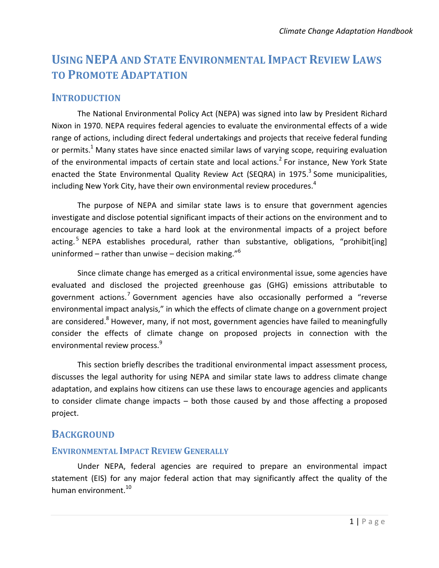# **USING NEPA AND STATE ENVIRONMENTAL IMPACT REVIEW LAWS TO PROMOTE ADAPTATION**

## **INTRODUCTION**

The National Environmental Policy Act (NEPA) was signed into law by President Richard Nixon in 1970. NEPA requires federal agencies to evaluate the environmental effects of a wide range of actions, including direct federal undertakings and projects that receive federal funding or permits.<sup>1</sup> Many states have since enacted similar laws of varying scope, requiring evaluation of the environmental impacts of certain state and local actions.<sup>2</sup> For instance, New York State enacted the State Environmental Quality Review Act (SEQRA) in 1975.<sup>3</sup> Some municipalities, including New York City, have their own environmental review procedures. $^4$ 

The purpose of NEPA and similar state laws is to ensure that government agencies investigate and disclose potential significant impacts of their actions on the environment and to encourage agencies to take a hard look at the environmental impacts of a project before acting.<sup>5</sup> NEPA establishes procedural, rather than substantive, obligations, "prohibit[ing] uninformed – rather than unwise – decision making." $6$ 

Since climate change has emerged as a critical environmental issue, some agencies have evaluated and disclosed the projected greenhouse gas (GHG) emissions attributable to government actions.<sup>7</sup> Government agencies have also occasionally performed a "reverse environmental impact analysis," in which the effects of climate change on a government project are considered.<sup>8</sup> However, many, if not most, government agencies have failed to meaningfully consider the effects of climate change on proposed projects in connection with the environmental review process.<sup>9</sup>

This section briefly describes the traditional environmental impact assessment process, discusses the legal authority for using NEPA and similar state laws to address climate change adaptation, and explains how citizens can use these laws to encourage agencies and applicants to consider climate change impacts – both those caused by and those affecting a proposed project.

## **BACKGROUND**

#### **ENVIRONMENTAL IMPACT REVIEW GENERALLY**

Under NEPA, federal agencies are required to prepare an environmental impact statement (EIS) for any major federal action that may significantly affect the quality of the human environment.<sup>10</sup>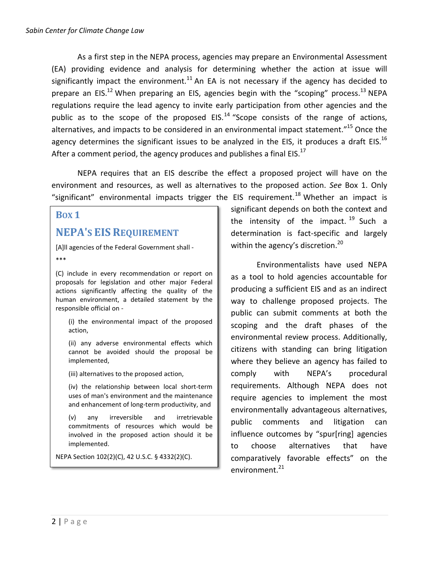As a first step in the NEPA process, agencies may prepare an Environmental Assessment (EA) providing evidence and analysis for determining whether the action at issue will significantly impact the environment.<sup>11</sup> An EA is not necessary if the agency has decided to prepare an EIS.<sup>12</sup> When preparing an EIS, agencies begin with the "scoping" process.<sup>13</sup> NEPA regulations require the lead agency to invite early participation from other agencies and the public as to the scope of the proposed EIS.<sup>14</sup> "Scope consists of the range of actions, alternatives, and impacts to be considered in an environmental impact statement."<sup>15</sup> Once the agency determines the significant issues to be analyzed in the EIS, it produces a draft EIS.<sup>16</sup> After a comment period, the agency produces and publishes a final EIS.<sup>17</sup>

NEPA requires that an EIS describe the effect a proposed project will have on the environment and resources, as well as alternatives to the proposed action. *See* Box 1. Only "significant" environmental impacts trigger the EIS requirement.<sup>18</sup> Whether an impact is

#### **BOX 1**

## **NEPA'S EIS REQUIREMENT**

[A]ll agencies of the Federal Government shall -

\*\*\*

(C) include in every recommendation or report on proposals for legislation and other major Federal actions significantly affecting the quality of the human environment, a detailed statement by the responsible official on -

(i) the environmental impact of the proposed action,

(ii) any adverse environmental effects which cannot be avoided should the proposal be implemented,

(iii) alternatives to the proposed action,

(iv) the relationship between local short-term uses of man's environment and the maintenance and enhancement of long-term productivity, and

(v) any irreversible and irretrievable commitments of resources which would be involved in the proposed action should it be implemented.

NEPA Section 102(2)(C), 42 U.S.C. § 4332(2)(C).

significant depends on both the context and the intensity of the impact.  $19$  Such a determination is fact-specific and largely within the agency's discretion.<sup>20</sup>

Environmentalists have used NEPA as a tool to hold agencies accountable for producing a sufficient EIS and as an indirect way to challenge proposed projects. The public can submit comments at both the scoping and the draft phases of the environmental review process. Additionally, citizens with standing can bring litigation where they believe an agency has failed to comply with NEPA's procedural requirements. Although NEPA does not require agencies to implement the most environmentally advantageous alternatives, public comments and litigation can influence outcomes by "spur[ring] agencies to choose alternatives that have comparatively favorable effects" on the environment.<sup>21</sup>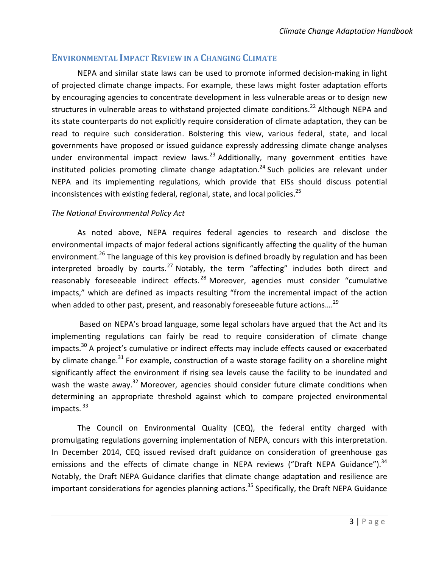## **ENVIRONMENTAL IMPACT REVIEW IN A CHANGING CLIMATE**

NEPA and similar state laws can be used to promote informed decision-making in light of projected climate change impacts. For example, these laws might foster adaptation efforts by encouraging agencies to concentrate development in less vulnerable areas or to design new structures in vulnerable areas to withstand projected climate conditions.<sup>22</sup> Although NEPA and its state counterparts do not explicitly require consideration of climate adaptation, they can be read to require such consideration. Bolstering this view, various federal, state, and local governments have proposed or issued guidance expressly addressing climate change analyses under environmental impact review laws.<sup>23</sup> Additionally, many government entities have instituted policies promoting climate change adaptation.<sup>24</sup> Such policies are relevant under NEPA and its implementing regulations, which provide that EISs should discuss potential inconsistences with existing federal, regional, state, and local policies.<sup>25</sup>

#### *The National Environmental Policy Act*

As noted above, NEPA requires federal agencies to research and disclose the environmental impacts of major federal actions significantly affecting the quality of the human environment.<sup>26</sup> The language of this key provision is defined broadly by regulation and has been interpreted broadly by courts.<sup>27</sup> Notably, the term "affecting" includes both direct and reasonably foreseeable indirect effects.<sup>28</sup> Moreover, agencies must consider "cumulative impacts," which are defined as impacts resulting "from the incremental impact of the action when added to other past, present, and reasonably foreseeable future actions....<sup>29</sup>

Based on NEPA's broad language, some legal scholars have argued that the Act and its implementing regulations can fairly be read to require consideration of climate change impacts.<sup>30</sup> A project's cumulative or indirect effects may include effects caused or exacerbated by climate change.<sup>31</sup> For example, construction of a waste storage facility on a shoreline might significantly affect the environment if rising sea levels cause the facility to be inundated and wash the waste away.<sup>32</sup> Moreover, agencies should consider future climate conditions when determining an appropriate threshold against which to compare projected environmental impacts. 33

The Council on Environmental Quality (CEQ), the federal entity charged with promulgating regulations governing implementation of NEPA, concurs with this interpretation. In December 2014, CEQ issued revised draft guidance on consideration of greenhouse gas emissions and the effects of climate change in NEPA reviews ("Draft NEPA Guidance").<sup>34</sup> Notably, the Draft NEPA Guidance clarifies that climate change adaptation and resilience are important considerations for agencies planning actions.<sup>35</sup> Specifically, the Draft NEPA Guidance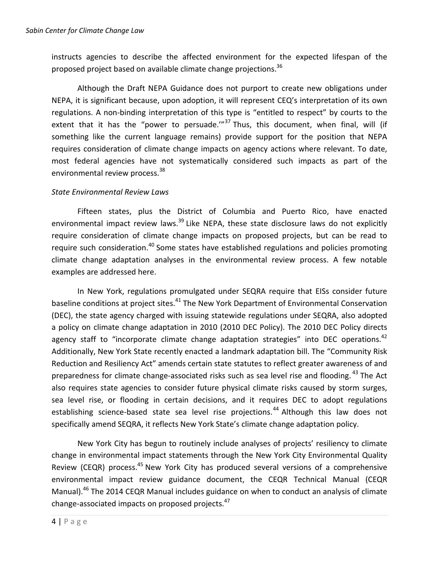instructs agencies to describe the affected environment for the expected lifespan of the proposed project based on available climate change projections.<sup>36</sup>

Although the Draft NEPA Guidance does not purport to create new obligations under NEPA, it is significant because, upon adoption, it will represent CEQ's interpretation of its own regulations. A non-binding interpretation of this type is "entitled to respect" by courts to the extent that it has the "power to persuade." $37$  Thus, this document, when final, will (if something like the current language remains) provide support for the position that NEPA requires consideration of climate change impacts on agency actions where relevant. To date, most federal agencies have not systematically considered such impacts as part of the environmental review process.<sup>38</sup>

#### *State Environmental Review Laws*

Fifteen states, plus the District of Columbia and Puerto Rico, have enacted environmental impact review laws.<sup>39</sup> Like NEPA, these state disclosure laws do not explicitly require consideration of climate change impacts on proposed projects, but can be read to require such consideration.<sup>40</sup> Some states have established regulations and policies promoting climate change adaptation analyses in the environmental review process. A few notable examples are addressed here.

In New York, regulations promulgated under SEQRA require that EISs consider future baseline conditions at project sites.<sup>41</sup> The New York Department of Environmental Conservation (DEC), the state agency charged with issuing statewide regulations under SEQRA, also adopted a policy on climate change adaptation in 2010 (2010 DEC Policy). The 2010 DEC Policy directs agency staff to "incorporate climate change adaptation strategies" into DEC operations.<sup>42</sup> Additionally, New York State recently enacted a landmark adaptation bill. The "Community Risk Reduction and Resiliency Act" amends certain state statutes to reflect greater awareness of and preparedness for climate change-associated risks such as sea level rise and flooding. <sup>43</sup> The Act also requires state agencies to consider future physical climate risks caused by storm surges, sea level rise, or flooding in certain decisions, and it requires DEC to adopt regulations establishing science-based state sea level rise projections.<sup>44</sup> Although this law does not specifically amend SEQRA, it reflects New York State's climate change adaptation policy.

New York City has begun to routinely include analyses of projects' resiliency to climate change in environmental impact statements through the New York City Environmental Quality Review (CEQR) process.<sup>45</sup> New York City has produced several versions of a comprehensive environmental impact review guidance document, the CEQR Technical Manual (CEQR Manual).<sup>46</sup> The 2014 CEQR Manual includes guidance on when to conduct an analysis of climate change-associated impacts on proposed projects.<sup>47</sup>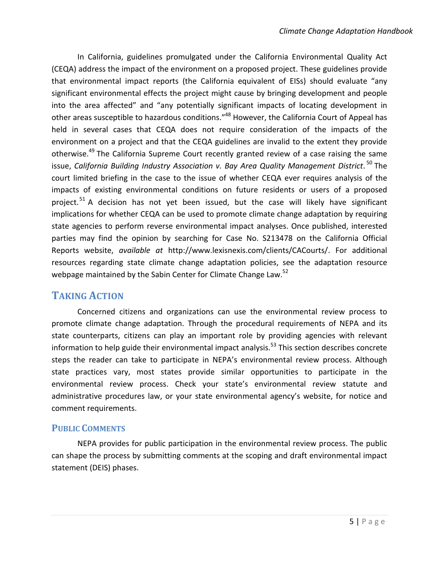In California, guidelines promulgated under the California Environmental Quality Act (CEQA) address the impact of the environment on a proposed project. These guidelines provide that environmental impact reports (the California equivalent of EISs) should evaluate "any significant environmental effects the project might cause by bringing development and people into the area affected" and "any potentially significant impacts of locating development in other areas susceptible to hazardous conditions."<sup>48</sup> However, the California Court of Appeal has held in several cases that CEQA does not require consideration of the impacts of the environment on a project and that the CEQA guidelines are invalid to the extent they provide otherwise.<sup>49</sup> The California Supreme Court recently granted review of a case raising the same issue, *California Building Industry Association v. Bay Area Quality Management District*. <sup>50</sup> The court limited briefing in the case to the issue of whether CEQA ever requires analysis of the impacts of existing environmental conditions on future residents or users of a proposed project.<sup>51</sup> A decision has not yet been issued, but the case will likely have significant implications for whether CEQA can be used to promote climate change adaptation by requiring state agencies to perform reverse environmental impact analyses. Once published, interested parties may find the opinion by searching for Case No. S213478 on the California Official Reports website, *available at* http://www.lexisnexis.com/clients/CACourts/. For additional resources regarding state climate change adaptation policies, see the adaptation resource webpage maintained by the Sabin Center for Climate Change Law.<sup>52</sup>

## **TAKING ACTION**

Concerned citizens and organizations can use the environmental review process to promote climate change adaptation. Through the procedural requirements of NEPA and its state counterparts, citizens can play an important role by providing agencies with relevant information to help guide their environmental impact analysis.<sup>53</sup> This section describes concrete steps the reader can take to participate in NEPA's environmental review process. Although state practices vary, most states provide similar opportunities to participate in the environmental review process. Check your state's environmental review statute and administrative procedures law, or your state environmental agency's website, for notice and comment requirements.

#### **PUBLIC COMMENTS**

NEPA provides for public participation in the environmental review process. The public can shape the process by submitting comments at the scoping and draft environmental impact statement (DEIS) phases.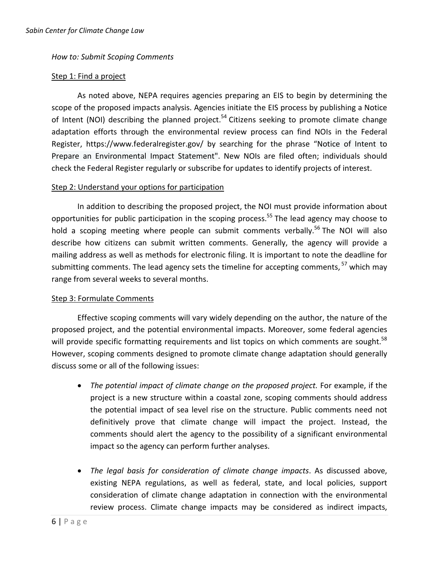#### *How to: Submit Scoping Comments*

#### Step 1: Find a project

As noted above, NEPA requires agencies preparing an EIS to begin by determining the scope of the proposed impacts analysis. Agencies initiate the EIS process by publishing a Notice of Intent (NOI) describing the planned project.<sup>54</sup> Citizens seeking to promote climate change adaptation efforts through the environmental review process can find NOIs in the Federal Register, https://www.federalregister.gov/ by searching for the phrase "Notice of Intent to Prepare an Environmental Impact Statement". New NOIs are filed often; individuals should check the Federal Register regularly or subscribe for updates to identify projects of interest.

#### Step 2: Understand your options for participation

In addition to describing the proposed project, the NOI must provide information about opportunities for public participation in the scoping process.<sup>55</sup> The lead agency may choose to hold a scoping meeting where people can submit comments verbally.<sup>56</sup> The NOI will also describe how citizens can submit written comments. Generally, the agency will provide a mailing address as well as methods for electronic filing. It is important to note the deadline for submitting comments. The lead agency sets the timeline for accepting comments,  $57$  which may range from several weeks to several months.

#### Step 3: Formulate Comments

Effective scoping comments will vary widely depending on the author, the nature of the proposed project, and the potential environmental impacts. Moreover, some federal agencies will provide specific formatting requirements and list topics on which comments are sought.<sup>58</sup> However, scoping comments designed to promote climate change adaptation should generally discuss some or all of the following issues:

- *The potential impact of climate change on the proposed project.* For example, if the project is a new structure within a coastal zone, scoping comments should address the potential impact of sea level rise on the structure. Public comments need not definitively prove that climate change will impact the project. Instead, the comments should alert the agency to the possibility of a significant environmental impact so the agency can perform further analyses.
- *The legal basis for consideration of climate change impacts*. As discussed above, existing NEPA regulations, as well as federal, state, and local policies, support consideration of climate change adaptation in connection with the environmental review process. Climate change impacts may be considered as indirect impacts,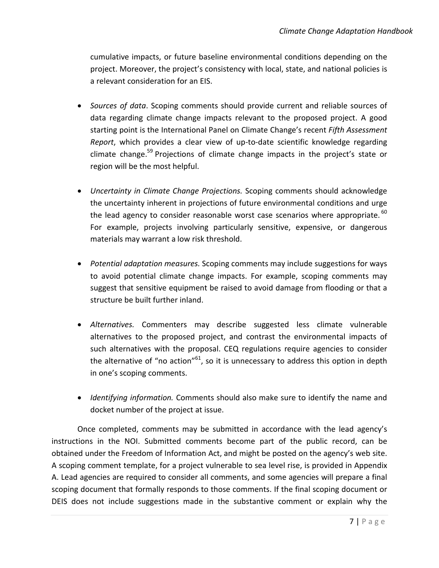cumulative impacts, or future baseline environmental conditions depending on the project. Moreover, the project's consistency with local, state, and national policies is a relevant consideration for an EIS.

- *Sources of data*. Scoping comments should provide current and reliable sources of data regarding climate change impacts relevant to the proposed project. A good starting point is the International Panel on Climate Change's recent *Fifth Assessment Report*, which provides a clear view of up-to-date scientific knowledge regarding climate change.<sup>59</sup> Projections of climate change impacts in the project's state or region will be the most helpful.
- *Uncertainty in Climate Change Projections.* Scoping comments should acknowledge the uncertainty inherent in projections of future environmental conditions and urge the lead agency to consider reasonable worst case scenarios where appropriate.  $60$ For example, projects involving particularly sensitive, expensive, or dangerous materials may warrant a low risk threshold.
- *Potential adaptation measures.* Scoping comments may include suggestions for ways to avoid potential climate change impacts. For example, scoping comments may suggest that sensitive equipment be raised to avoid damage from flooding or that a structure be built further inland.
- *Alternatives.* Commenters may describe suggested less climate vulnerable alternatives to the proposed project, and contrast the environmental impacts of such alternatives with the proposal. CEQ regulations require agencies to consider the alternative of "no action"<sup>61</sup>, so it is unnecessary to address this option in depth in one's scoping comments.
- *Identifying information.* Comments should also make sure to identify the name and docket number of the project at issue.

Once completed, comments may be submitted in accordance with the lead agency's instructions in the NOI. Submitted comments become part of the public record, can be obtained under the Freedom of Information Act, and might be posted on the agency's web site. A scoping comment template, for a project vulnerable to sea level rise, is provided in Appendix A. Lead agencies are required to consider all comments, and some agencies will prepare a final scoping document that formally responds to those comments. If the final scoping document or DEIS does not include suggestions made in the substantive comment or explain why the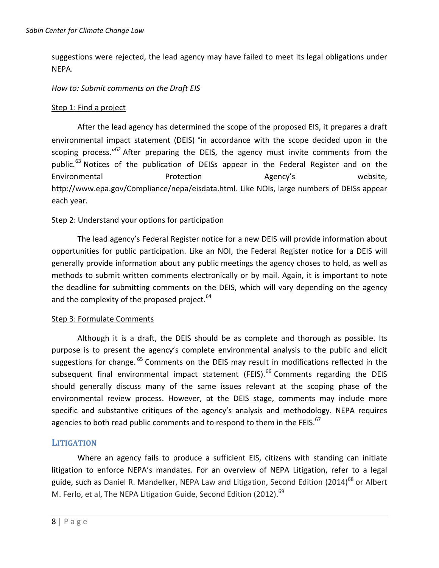suggestions were rejected, the lead agency may have failed to meet its legal obligations under NEPA.

#### *How to: Submit comments on the Draft EIS*

#### Step 1: Find a project

After the lead agency has determined the scope of the proposed EIS, it prepares a draft environmental impact statement (DEIS) "in accordance with the scope decided upon in the scoping process." $62$  After preparing the DEIS, the agency must invite comments from the public.<sup>63</sup> Notices of the publication of DEISs appear in the Federal Register and on the Environmental **Protection** Protection Agency's website, http://www.epa.gov/Compliance/nepa/eisdata.html. Like NOIs, large numbers of DEISs appear each year.

#### Step 2: Understand your options for participation

The lead agency's Federal Register notice for a new DEIS will provide information about opportunities for public participation. Like an NOI, the Federal Register notice for a DEIS will generally provide information about any public meetings the agency choses to hold, as well as methods to submit written comments electronically or by mail. Again, it is important to note the deadline for submitting comments on the DEIS, which will vary depending on the agency and the complexity of the proposed project. $64$ 

#### Step 3: Formulate Comments

Although it is a draft, the DEIS should be as complete and thorough as possible. Its purpose is to present the agency's complete environmental analysis to the public and elicit suggestions for change.<sup>65</sup> Comments on the DEIS may result in modifications reflected in the subsequent final environmental impact statement (FEIS). $^{66}$  Comments regarding the DEIS should generally discuss many of the same issues relevant at the scoping phase of the environmental review process. However, at the DEIS stage, comments may include more specific and substantive critiques of the agency's analysis and methodology. NEPA requires agencies to both read public comments and to respond to them in the FEIS.<sup>67</sup>

#### **LITIGATION**

Where an agency fails to produce a sufficient EIS, citizens with standing can initiate litigation to enforce NEPA's mandates. For an overview of NEPA Litigation, refer to a legal guide, such as Daniel R. Mandelker, NEPA Law and Litigation, Second Edition (2014)<sup>68</sup> or Albert M. Ferlo, et al, The NEPA Litigation Guide, Second Edition (2012).<sup>69</sup>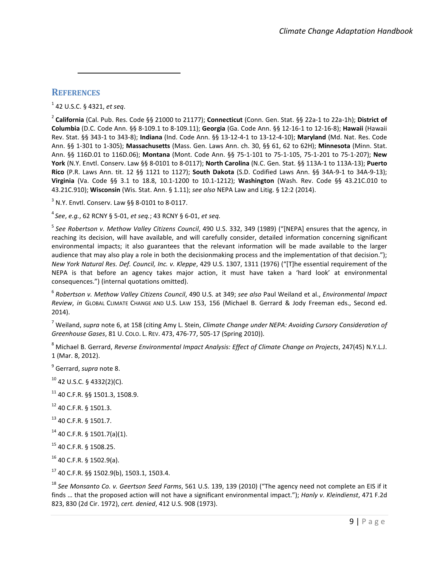#### **REFERENCES**

 $\overline{a}$ 

1 42 U.S.C. § 4321, *et seq*.

2 **California** (Cal. Pub. Res. Code §§ 21000 to 21177); **Connecticut** (Conn. Gen. Stat. §§ 22a-1 to 22a-1h); **District of Columbia** (D.C. Code Ann. §§ 8-109.1 to 8-109.11); **Georgia** (Ga. Code Ann. §§ 12-16-1 to 12-16-8); **Hawaii** (Hawaii Rev. Stat. §§ 343-1 to 343-8); **Indiana** (Ind. Code Ann. §§ 13-12-4-1 to 13-12-4-10); **Maryland** (Md. Nat. Res. Code Ann. §§ 1-301 to 1-305); **Massachusetts** (Mass. Gen. Laws Ann. ch. 30, §§ 61, 62 to 62H); **Minnesota** (Minn. Stat. Ann. §§ 116D.01 to 116D.06); **Montana** (Mont. Code Ann. §§ 75-1-101 to 75-1-105, 75-1-201 to 75-1-207); **New York** (N.Y. Envtl. Conserv. Law §§ 8-0101 to 8-0117); **North Carolina** (N.C. Gen. Stat. §§ 113A-1 to 113A-13); **Puerto Rico** (P.R. Laws Ann. tit. 12 §§ 1121 to 1127); **South Dakota** (S.D. Codified Laws Ann. §§ 34A-9-1 to 34A-9-13); **Virginia** (Va. Code §§ 3.1 to 18.8, 10.1-1200 to 10.1-1212); **Washington** (Wash. Rev. Code §§ 43.21C.010 to 43.21C.910); **Wisconsin** (Wis. Stat. Ann. § 1.11); *see also* NEPA Law and Litig. § 12:2 (2014).

 $3$  N.Y. Envtl. Conserv. Law §§ 8-0101 to 8-0117.

4 *See*, *e.g.*, 62 RCNY § 5-01, *et seq.*; 43 RCNY § 6-01, *et seq.*

5 *See Robertson v. Methow Valley Citizens Council*, 490 U.S. 332, 349 (1989) ("[NEPA] ensures that the agency, in reaching its decision, will have available, and will carefully consider, detailed information concerning significant environmental impacts; it also guarantees that the relevant information will be made available to the larger audience that may also play a role in both the decisionmaking process and the implementation of that decision."); *New York Natural Res. Def. Council, Inc. v. Kleppe*, 429 U.S. 1307, 1311 (1976) ("[T]he essential requirement of the NEPA is that before an agency takes major action, it must have taken a 'hard look' at environmental consequences.") (internal quotations omitted).

6 *Robertson v. Methow Valley Citizens Council*, 490 U.S. at 349; *see also* Paul Weiland et al., *Environmental Impact Review*, *in* GLOBAL CLIMATE CHANGE AND U.S. LAW 153, 156 (Michael B. Gerrard & Jody Freeman eds., Second ed. 2014).

<sup>7</sup> Weiland, *supra* note 6, at 158 (citing Amy L. Stein, *Climate Change under NEPA: Avoiding Cursory Consideration of Greenhouse Gases*, 81 U. COLO. L. REV. 473, 476-77, 505-17 (Spring 2010)).

<sup>8</sup> Michael B. Gerrard, *Reverse Environmental Impact Analysis: Effect of Climate Change on Projects*, 247(45) N.Y.L.J. 1 (Mar. 8, 2012).

9 Gerrard, *supra* note 8.

- $10$  42 U.S.C. § 4332(2)(C).
- $11$  40 C.F.R. §§ 1501.3, 1508.9.
- <sup>12</sup> 40 C.F.R. § 1501.3.
- $13$  40 C.F.R. § 1501.7.
- $14$  40 C.F.R. § 1501.7(a)(1).
- <sup>15</sup> 40 C.F.R. § 1508.25.
- <sup>16</sup> 40 C.F.R. § 1502.9(a).

<sup>17</sup> 40 C.F.R. §§ 1502.9(b), 1503.1, 1503.4.

<sup>18</sup> *See Monsanto Co. v. Geertson Seed Farms*, 561 U.S. 139, 139 (2010) ("The agency need not complete an EIS if it finds … that the proposed action will not have a significant environmental impact."); *Hanly v. Kleindienst*, 471 F.2d 823, 830 (2d Cir. 1972), *cert. denied*, 412 U.S. 908 (1973).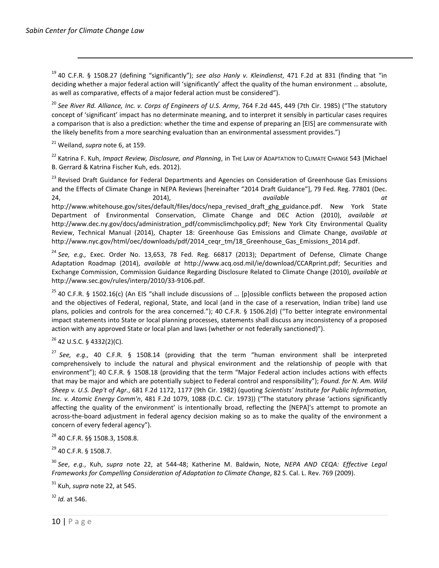$\overline{a}$ 

<sup>19</sup> 40 C.F.R. § 1508.27 (defining "significantly"); *see also Hanly v. Kleindienst*, 471 F.2d at 831 (finding that "in deciding whether a major federal action will 'significantly' affect the quality of the human environment … absolute, as well as comparative, effects of a major federal action must be considered").

<sup>20</sup> *See River Rd. Alliance, Inc. v. Corps of Engineers of U.S. Army*, 764 F.2d 445, 449 (7th Cir. 1985) ("The statutory concept of 'significant' impact has no determinate meaning, and to interpret it sensibly in particular cases requires a comparison that is also a prediction: whether the time and expense of preparing an [EIS] are commensurate with the likely benefits from a more searching evaluation than an environmental assessment provides.")

<sup>21</sup> Weiland, *supra* note 6, at 159.

<sup>22</sup> Katrina F. Kuh, *Impact Review, Disclosure, and Planning*, in THE LAW OF ADAPTATION TO CLIMATE CHANGE 543 (Michael B. Gerrard & Katrina Fischer Kuh, eds. 2012).

<sup>23</sup> Revised Draft Guidance for Federal Departments and Agencies on Consideration of Greenhouse Gas Emissions and the Effects of Climate Change in NEPA Reviews [hereinafter "2014 Draft Guidance"], 79 Fed. Reg. 77801 (Dec. 24, 2014), *available at* http://www.whitehouse.gov/sites/default/files/docs/nepa\_revised\_draft\_ghg\_guidance.pdf. New York State Department of Environmental Conservation, Climate Change and DEC Action (2010), *available at* http://www.dec.ny.gov/docs/administration\_pdf/commisclimchpolicy.pdf; New York City Environmental Quality Review, Technical Manual (2014), Chapter 18: Greenhouse Gas Emissions and Climate Change, *available at* http://www.nyc.gov/html/oec/downloads/pdf/2014\_ceqr\_tm/18\_Greenhouse\_Gas\_Emissions\_2014.pdf.

<sup>24</sup> *See, e.g.,* Exec. Order No. 13,653, 78 Fed. Reg. 66817 (2013); Department of Defense, Climate Change Adaptation Roadmap (2014), *available at* http://www.acq.osd.mil/ie/download/CCARprint.pdf; Securities and Exchange Commission, Commission Guidance Regarding Disclosure Related to Climate Change (2010), *available at* http://www.sec.gov/rules/interp/2010/33-9106.pdf.

 $25$  40 C.F.R. § 1502.16(c) (An EIS "shall include discussions of ... [p]ossible conflicts between the proposed action and the objectives of Federal, regional, State, and local (and in the case of a reservation, Indian tribe) land use plans, policies and controls for the area concerned."); 40 C.F.R. § 1506.2(d) ("To better integrate environmental impact statements into State or local planning processes, statements shall discuss any inconsistency of a proposed action with any approved State or local plan and laws (whether or not federally sanctioned)").

<sup>26</sup> 42 U.S.C. § 4332(2)(C).

<sup>27</sup> *See, e.g.,* 40 C.F.R. § 1508.14 (providing that the term "human environment shall be interpreted comprehensively to include the natural and physical environment and the relationship of people with that environment"); 40 C.F.R. § 1508.18 (providing that the term "Major Federal action includes actions with effects that may be major and which are potentially subject to Federal control and responsibility"); *Found. for N. Am. Wild Sheep v. U.S. Dep't of Agr.*, 681 F.2d 1172, 1177 (9th Cir. 1982) (quoting *Scientists' Institute for Public Information, Inc. v. Atomic Energy Comm'n*, 481 F.2d 1079, 1088 (D.C. Cir. 1973)) ("The statutory phrase 'actions significantly affecting the quality of the environment' is intentionally broad, reflecting the [NEPA]'s attempt to promote an across-the-board adjustment in federal agency decision making so as to make the quality of the environment a concern of every federal agency").

<sup>28</sup> 40 C.F.R. §§ 1508.3, 1508.8.

<sup>29</sup> 40 C.F.R. § 1508.7.

<sup>30</sup> *See*, *e.g.*, Kuh, *supra* note 22, at 544-48; Katherine M. Baldwin, Note, *NEPA AND CEQA: Effective Legal Frameworks for Compelling Consideration of Adaptation to Climate Change*, 82 S. Cal. L. Rev. 769 (2009).

<sup>31</sup> Kuh, *supra* note 22, at 545.

<sup>32</sup> *Id.* at 546.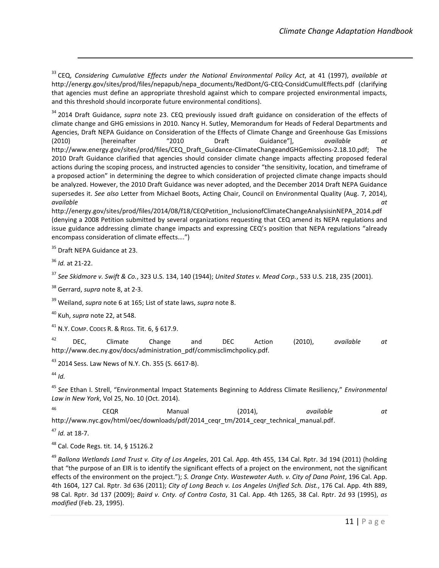<sup>33</sup> CEQ, *Considering Cumulative Effects under the National Environmental Policy Act*, at 41 (1997), *available at* http://energy.gov/sites/prod/files/nepapub/nepa\_documents/RedDont/G-CEQ-ConsidCumulEffects.pdf (clarifying that agencies must define an appropriate threshold against which to compare projected environmental impacts, and this threshold should incorporate future environmental conditions).

<sup>34</sup> 2014 Draft Guidance, *supra* note 23. CEQ previously issued draft guidance on consideration of the effects of climate change and GHG emissions in 2010. Nancy H. Sutley, Memorandum for Heads of Federal Departments and Agencies, Draft NEPA Guidance on Consideration of the Effects of Climate Change and Greenhouse Gas Emissions (2010) [hereinafter "2010 Draft Guidance"], *available at* http://www.energy.gov/sites/prod/files/CEQ\_Draft\_Guidance-ClimateChangeandGHGemissions-2.18.10.pdf; The 2010 Draft Guidance clarified that agencies should consider climate change impacts affecting proposed federal actions during the scoping process, and instructed agencies to consider "the sensitivity, location, and timeframe of a proposed action" in determining the degree to which consideration of projected climate change impacts should be analyzed. However, the 2010 Draft Guidance was never adopted, and the December 2014 Draft NEPA Guidance supersedes it. *See also* Letter from Michael Boots, Acting Chair, Council on Environmental Quality (Aug. 7, 2014), *available at*

http://energy.gov/sites/prod/files/2014/08/f18/CEQPetition\_InclusionofClimateChangeAnalysisinNEPA\_2014.pdf (denying a 2008 Petition submitted by several organizations requesting that CEQ amend its NEPA regulations and issue guidance addressing climate change impacts and expressing CEQ's position that NEPA regulations "already encompass consideration of climate effects….")

<sup>35</sup> Draft NEPA Guidance at 23.

<sup>36</sup> *Id.* at 21-22.

 $\overline{a}$ 

<sup>37</sup> *See Skidmore v. Swift & Co.*, 323 U.S. 134, 140 (1944); *United States v. Mead Corp.*, 533 U.S. 218, 235 (2001).

<sup>38</sup> Gerrard, *supra* note 8, at 2-3.

<sup>39</sup> Weiland, *supra* note 6 at 165; List of state laws, *supra* note 8.

<sup>40</sup> Kuh, *supra* note 22, at 548.

<sup>41</sup> N.Y. COMP. CODES R. & REGS. Tit. 6, § 617.9.

<sup>42</sup> DEC, Climate Change and DEC Action (2010), *available at* http://www.dec.ny.gov/docs/administration\_pdf/commisclimchpolicy.pdf.

<sup>43</sup> 2014 Sess. Law News of N.Y. Ch. 355 (S. 6617-B).

<sup>44</sup> *Id.*

<sup>45</sup> *See* Ethan I. Strell, "Environmental Impact Statements Beginning to Address Climate Resiliency," *Environmental Law in New York*, Vol 25, No. 10 (Oct. 2014).

<sup>46</sup> CEQR Manual (2014), *available at* http://www.nyc.gov/html/oec/downloads/pdf/2014\_ceqr\_tm/2014\_ceqr\_technical\_manual.pdf.

<sup>47</sup> *Id.* at 18-7.

<sup>48</sup> Cal. Code Regs. tit. 14, § 15126.2

<sup>49</sup> *Ballona Wetlands Land Trust v. City of Los Angeles*, 201 Cal. App. 4th 455, 134 Cal. Rptr. 3d 194 (2011) (holding that "the purpose of an EIR is to identify the significant effects of a project on the environment, not the significant effects of the environment on the project."); *S. Orange Cnty. Wastewater Auth. v. City of Dana Point*, 196 Cal. App. 4th 1604, 127 Cal. Rptr. 3d 636 (2011); *City of Long Beach v. Los Angeles Unified Sch. Dist.*, 176 Cal. App. 4th 889, 98 Cal. Rptr. 3d 137 (2009); *Baird v. Cnty. of Contra Costa*, 31 Cal. App. 4th 1265, 38 Cal. Rptr. 2d 93 (1995), *as modified* (Feb. 23, 1995).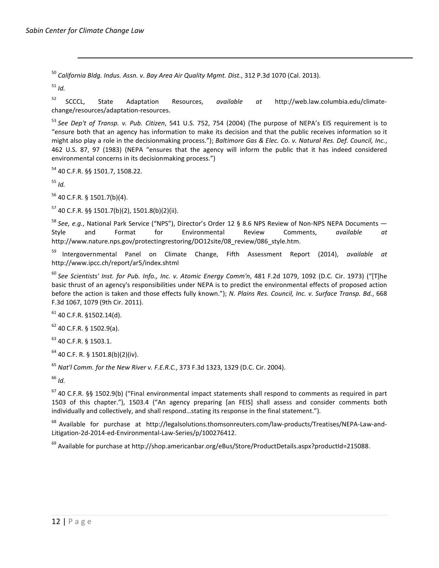$\overline{a}$ 

<sup>50</sup> *California Bldg. Indus. Assn. v. Bay Area Air Quality Mgmt. Dist.*, 312 P.3d 1070 (Cal. 2013).

<sup>51</sup> *Id.*

<sup>52</sup> SCCCL, State Adaptation Resources, *available at* http://web.law.columbia.edu/climatechange/resources/adaptation-resources.

<sup>53</sup> *See Dep't of Transp. v. Pub. Citizen*, 541 U.S. 752, 754 (2004) (The purpose of NEPA's EIS requirement is to "ensure both that an agency has information to make its decision and that the public receives information so it might also play a role in the decisionmaking process."); *Baltimore Gas & Elec. Co. v. Natural Res. Def. Council, Inc.*, 462 U.S. 87, 97 (1983) (NEPA "ensures that the agency will inform the public that it has indeed considered environmental concerns in its decisionmaking process.")

<sup>54</sup> 40 C.F.R. §§ 1501.7, 1508.22.

<sup>55</sup> *Id.*

<sup>56</sup> 40 C.F.R*.* § 1501.7(b)(4).

 $57$  40 C.F.R. §§ 1501.7(b)(2), 1501.8(b)(2)(ii).

<sup>58</sup> *See, e.g.*, National Park Service ("NPS"), Director's Order 12 § 8.6 NPS Review of Non-NPS NEPA Documents — Style and Format for Environmental Review Comments, *available at* http://www.nature.nps.gov/protectingrestoring/DO12site/08 review/086 style.htm.

<sup>59</sup> Intergovernmental Panel on Climate Change, Fifth Assessment Report (2014), *available at* http://www.ipcc.ch/report/ar5/index.shtml

<sup>60</sup> *See Scientists' Inst. for Pub. Info., Inc. v. Atomic Energy Comm'n*, 481 F.2d 1079, 1092 (D.C. Cir. 1973) ("[T]he basic thrust of an agency's responsibilities under NEPA is to predict the environmental effects of proposed action before the action is taken and those effects fully known."); *N. Plains Res. Council, Inc. v. Surface Transp. Bd.*, 668 F.3d 1067, 1079 (9th Cir. 2011).

 $61$  40 C.F.R. §1502.14(d).

 $62$  40 C.F.R. § 1502.9(a).

<sup>63</sup> 40 C.F.R. § 1503.1.

 $64$  40 C.F. R. § 1501.8(b)(2)(iv).

<sup>65</sup> *Nat'l Comm. for the New River v. F.E.R.C.*, 373 F.3d 1323, 1329 (D.C. Cir. 2004).

<sup>66</sup> *Id.*

 $67$  40 C.F.R. §§ 1502.9(b) ("Final environmental impact statements shall respond to comments as required in part 1503 of this chapter."), 1503.4 ("An agency preparing [an FEIS] shall assess and consider comments both individually and collectively, and shall respond…stating its response in the final statement.").

<sup>68</sup> Available for purchase at http://legalsolutions.thomsonreuters.com/law-products/Treatises/NEPA-Law-and-Litigation-2d-2014-ed-Environmental-Law-Series/p/100276412.

<sup>69</sup> Available for purchase at http://shop.americanbar.org/eBus/Store/ProductDetails.aspx?productId=215088.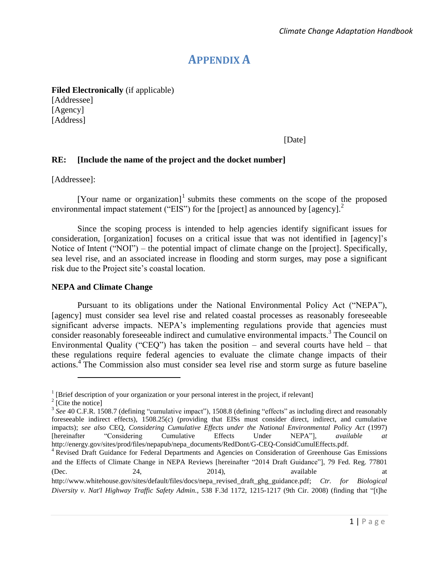# **APPENDIX A**

**Filed Electronically** (if applicable)

[Addressee] [Agency] [Address]

[Date]

#### **RE: [Include the name of the project and the docket number]**

[Addressee]:

[Your name or organization] $<sup>1</sup>$  submits these comments on the scope of the proposed</sup> environmental impact statement ("EIS") for the [project] as announced by [agency].<sup>2</sup>

Since the scoping process is intended to help agencies identify significant issues for consideration, [organization] focuses on a critical issue that was not identified in [agency]'s Notice of Intent ("NOI") – the potential impact of climate change on the [project]. Specifically, sea level rise, and an associated increase in flooding and storm surges, may pose a significant risk due to the Project site's coastal location.

#### **NEPA and Climate Change**

Pursuant to its obligations under the National Environmental Policy Act ("NEPA"), [agency] must consider sea level rise and related coastal processes as reasonably foreseeable significant adverse impacts. NEPA's implementing regulations provide that agencies must consider reasonably foreseeable indirect and cumulative environmental impacts.<sup>3</sup> The Council on Environmental Quality ("CEQ") has taken the position – and several courts have held – that these regulations require federal agencies to evaluate the climate change impacts of their actions.<sup>4</sup> The Commission also must consider sea level rise and storm surge as future baseline

<sup>&</sup>lt;sup>1</sup> [Brief description of your organization or your personal interest in the project, if relevant]

<sup>2</sup> [Cite the notice]

<sup>&</sup>lt;sup>3</sup> See 40 C.F.R. 1508.7 (defining "cumulative impact"), 1508.8 (defining "effects" as including direct and reasonably foreseeable indirect effects), 1508.25(c) (providing that EISs must consider direct, indirect, and cumulative impacts); *see also* CEQ, *Considering Cumulative Effects under the National Environmental Policy Act* (1997) [hereinafter "Considering Cumulative Effects Under NEPA"], *available at* http://energy.gov/sites/prod/files/nepapub/nepa\_documents/RedDont/G-CEQ-ConsidCumulEffects.pdf.

<sup>4</sup> Revised Draft Guidance for Federal Departments and Agencies on Consideration of Greenhouse Gas Emissions and the Effects of Climate Change in NEPA Reviews [hereinafter "2014 Draft Guidance"], 79 Fed. Reg. 77801  $(Dec. 24, 2014)$ , available at

http://www.whitehouse.gov/sites/default/files/docs/nepa\_revised\_draft\_ghg\_guidance.pdf; *Ctr. for Biological Diversity v. Nat'l Highway Traffic Safety Admin.*, 538 F.3d 1172, 1215-1217 (9th Cir. 2008) (finding that "[t]he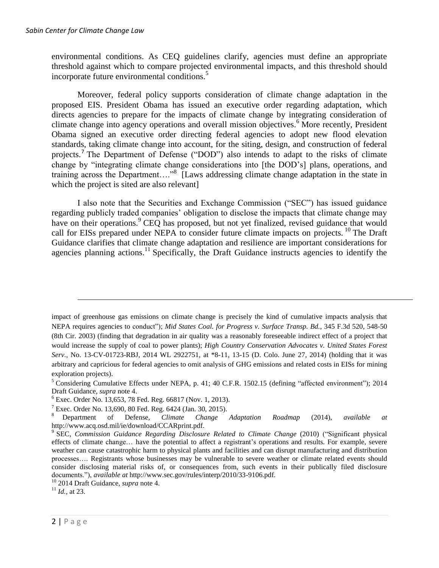environmental conditions. As CEQ guidelines clarify, agencies must define an appropriate threshold against which to compare projected environmental impacts, and this threshold should incorporate future environmental conditions.<sup>5</sup>

Moreover, federal policy supports consideration of climate change adaptation in the proposed EIS. President Obama has issued an executive order regarding adaptation, which directs agencies to prepare for the impacts of climate change by integrating consideration of climate change into agency operations and overall mission objectives.<sup>6</sup> More recently, President Obama signed an executive order directing federal agencies to adopt new flood elevation standards, taking climate change into account, for the siting, design, and construction of federal projects.<sup>7</sup> The Department of Defense ("DOD") also intends to adapt to the risks of climate change by "integrating climate change considerations into [the DOD's] plans, operations, and training across the Department…."<sup>8</sup> [Laws addressing climate change adaptation in the state in which the project is sited are also relevant]

I also note that the Securities and Exchange Commission ("SEC") has issued guidance regarding publicly traded companies' obligation to disclose the impacts that climate change may have on their operations.<sup>9</sup> CEQ has proposed, but not yet finalized, revised guidance that would call for EISs prepared under NEPA to consider future climate impacts on projects.<sup>10</sup> The Draft Guidance clarifies that climate change adaptation and resilience are important considerations for agencies planning actions.<sup>11</sup> Specifically, the Draft Guidance instructs agencies to identify the

impact of greenhouse gas emissions on climate change is precisely the kind of cumulative impacts analysis that NEPA requires agencies to conduct"); *Mid States Coal. for Progress v. Surface Transp. Bd.*, 345 F.3d 520, 548-50 (8th Cir. 2003) (finding that degradation in air quality was a reasonably foreseeable indirect effect of a project that would increase the supply of coal to power plants); *High Country Conservation Advocates v. United States Forest Serv.*, No. 13-CV-01723-RBJ, 2014 WL 2922751, at \*8-11, 13-15 (D. Colo. June 27, 2014) (holding that it was arbitrary and capricious for federal agencies to omit analysis of GHG emissions and related costs in EISs for mining exploration projects).

<sup>5</sup> Considering Cumulative Effects under NEPA, p. 41; 40 C.F.R. 1502.15 (defining "affected environment"); 2014 Draft Guidance, *supra* note 4.

 $6$  Exec. Order No. 13,653, 78 Fed. Reg. 66817 (Nov. 1, 2013).

 $7$  Exec. Order No. 13,690, 80 Fed. Reg. 6424 (Jan. 30, 2015).

<sup>8</sup> Department of Defense, *Climate Change Adaptation Roadmap* (2014), *available at* http://www.acq.osd.mil/ie/download/CCARprint.pdf.

<sup>9</sup> SEC, *Commission Guidance Regarding Disclosure Related to Climate Change* (2010) ("Significant physical effects of climate change… have the potential to affect a registrant's operations and results. For example, severe weather can cause catastrophic harm to physical plants and facilities and can disrupt manufacturing and distribution processes…. Registrants whose businesses may be vulnerable to severe weather or climate related events should consider disclosing material risks of, or consequences from, such events in their publically filed disclosure documents."), *available at* http://www.sec.gov/rules/interp/2010/33-9106.pdf.

<sup>10</sup> 2014 Draft Guidance, *supra* note 4.

 $11$  *Id.*, at 23.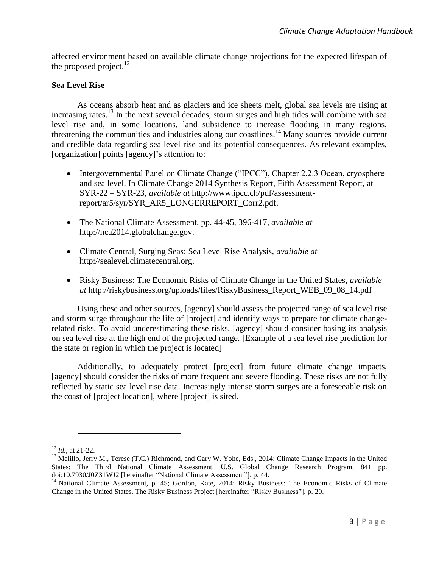affected environment based on available climate change projections for the expected lifespan of the proposed project. $^{12}$ 

#### **Sea Level Rise**

As oceans absorb heat and as glaciers and ice sheets melt, global sea levels are rising at increasing rates.<sup>13</sup> In the next several decades, storm surges and high tides will combine with sea level rise and, in some locations, land subsidence to increase flooding in many regions, threatening the communities and industries along our coastlines.<sup>14</sup> Many sources provide current and credible data regarding sea level rise and its potential consequences. As relevant examples, [organization] points [agency]'s attention to:

- Intergovernmental Panel on Climate Change ("IPCC"), Chapter 2.2.3 Ocean, cryosphere and sea level. In Climate Change 2014 Synthesis Report, Fifth Assessment Report, at SYR-22 – SYR-23, *available at* http://www.ipcc.ch/pdf/assessmentreport/ar5/syr/SYR\_AR5\_LONGERREPORT\_Corr2.pdf.
- The National Climate Assessment, pp. 44-45, 396-417, *available at* http://nca2014.globalchange.gov.
- Climate Central, Surging Seas: Sea Level Rise Analysis, *available at* http://sealevel.climatecentral.org.
- Risky Business: The Economic Risks of Climate Change in the United States, *available at* http://riskybusiness.org/uploads/files/RiskyBusiness\_Report\_WEB\_09\_08\_14.pdf

Using these and other sources, [agency] should assess the projected range of sea level rise and storm surge throughout the life of [project] and identify ways to prepare for climate changerelated risks. To avoid underestimating these risks, [agency] should consider basing its analysis on sea level rise at the high end of the projected range. [Example of a sea level rise prediction for the state or region in which the project is located]

Additionally, to adequately protect [project] from future climate change impacts, [agency] should consider the risks of more frequent and severe flooding. These risks are not fully reflected by static sea level rise data. Increasingly intense storm surges are a foreseeable risk on the coast of [project location], where [project] is sited.

<sup>12</sup> *Id.*, at 21-22.

<sup>&</sup>lt;sup>13</sup> Melillo, Jerry M., Terese (T.C.) Richmond, and Gary W. Yohe, Eds., 2014: Climate Change Impacts in the United States: The Third National Climate Assessment. U.S. Global Change Research Program, 841 pp. doi:10.7930/J0Z31WJ2 [hereinafter "National Climate Assessment"], p. 44.

<sup>&</sup>lt;sup>14</sup> National Climate Assessment, p. 45; Gordon, Kate, 2014: Risky Business: The Economic Risks of Climate Change in the United States. The Risky Business Project [hereinafter "Risky Business"], p. 20.